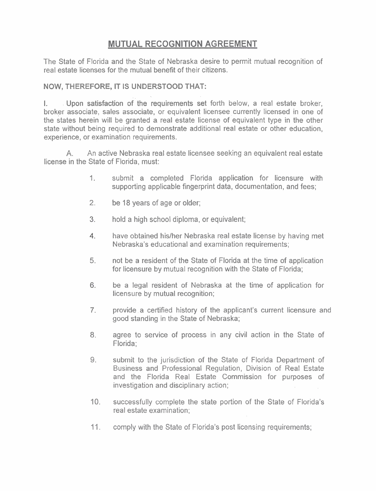## **MUTUAL RECOGNITION AGREEMENT**

The State of Florida and the State of Nebraska desire to permit mutual recognition of real estate licenses for the mutual benefit of their citizens.

## **NOW, THEREFORE, IT** IS **UNDERSTOOD THAT:**

Upon satisfaction of the requirements set forth below, a real estate broker, broker associate, sales associate, or equivalent licensee currently licensed in one of the states herein will be granted a real estate license of equivalent type in the other state without being required to demonstrate additional real estate or other education, experience, or examination requirements.

**A.** An active Nebraska real estate licensee seeking an equivalent real estate license in the State of Florida, must:

- 1.. submit a completed Florida application for licensure with supporting applicable fingerprint data, documentation, and fees;
- 2. be 18 years of age or older;
- $3.$ hold a high school diploma, or equivalent;
- $4.$ have obtained hislher Nebraska real estate license by having met Nebraska's educational and examination requirements;
- **5.** not be a resident of the State of Florida at the time of application for licensure by mutual recognition with the State of Florida;
- 6. be a legal resident of Nebraska at the time of application for licensure by mutual recognition;
- $7<sub>1</sub>$ provide a certified history of the applicant's current licensure and good standing in the State of Nebraska;
- 8. agree to service of process in any civil action in the State of Florida;
- 9. submit to the jurisdiction of the State of Florida Department of Business and Professional Regulation, Division of Real Estate and the Florida Real Estate Commission for purposes of investigation and disciplinary action;
- 10. successfully complete the state portion of the State of Florida's real estate examination;
- 11. comply with the State of Florida's post licensing requirements;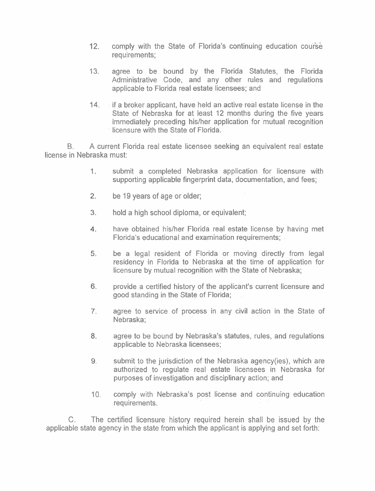- 12. comply with the State of Florida's continuing education course requirements;
- 13. agree to be bound by the Florida Statutes, the Florida Administrative Code, and any other rules and regulations applicable to Florida real estate licensees; and
- 14. . if a broker applicant, have held an active real estate license in the State of Nebraska for at least 12 months during the five years immediately preceding his/her application for mutual recognition licensure with the State of Florida.

6. A current Florida real estate licensee seeking an equivalent real estate license in Nebraska must:

- 1. submit a completed Nebraska application for licensure with supporting applicable fingerprint data, documentation, and fees;
- $2.$ be 19 years of age or older;
- $3.$ hold a high school diploma, or equivalent;
- $4.$ have obtained his/her Florida real estate license by having met Florida's educational and examination requirements;
- be a legal resident of Florida or moving directly from legal 5. residency in Florida to Nebraska at the time of application for licensure by mutual recognition with the State of Nebraska;
- 6. provide. a certified history of the applicant's current licensure and good standing in the State of Florida;
- agree to service of process in any civil action in the State of  $7<sub>1</sub>$ Nebraska;
- 8. agree to be bound by Nebraska's statutes, rules, and regulations applicable to Nebraska licensees;
- 9. submit to the jurisdiction of the Nebraska agency(ies), which are authorized to regulate real estate licensees in Nebraska for purposes of investigation and disciplinary action; and
- 10. comply with Nebraska's post license and continuing education requirements.

C. The certified licensure history required herein shall be issued by the applicable state agency in the state from which the applicant is applying and set forth: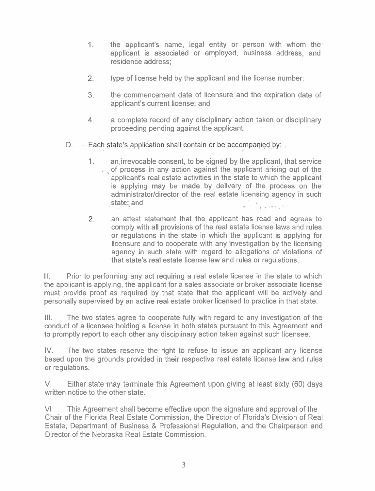- the applicant's name, legal entity or person with whom the  $1.$ applicant is associated or employed, business address, and residence address;
- $2.$ type of license held by the applicant and the license number;
- **3.** the commencement date of licensure and the expiration date of applicant's current license; and
- **4.** a complete record of any disciplinary action taken or disciplinary proceeding pending against the applicant.
- Each state's application shall contain or be accompanied by: D.
	- 1. ansirrevocable consent, to be signed by the applicant, that service  $\therefore$  of process in any action against the applicant arising out of the applicant's real estate activities in the state to which the applicant is applying may be made by delivery of the process on the administrator/director of the real estate licensing agency in such  $\textsf{state}_i$  and  $\textsf{state}_i$  . The state of  $\textsf{state}_i$
	- 2. an attest statement that the applicant has read and agrees to comply with all provisions of the real estate license laws and rules or regulations in the state in which the applicant is applying for licensure and to cooperate with any investigation by the licensing agency in such state with regard to allegations of violations of that state's real estate license law and rules or regulations.

II. Prior to performing any act requiring a real estate license in the state to which the applicant is applying, the applicant for a sales associate or broker associate license must provide proof as required by that state that the applicant will be actively and personally supervised by an active real estate broker licensed to practice in that state.

Ill. The two states agree to cooperate fully with regard to any investigation of the conduct of a licensee holding a license in both states pursuant to this Agreement and to promptly report to each other any disciplinary action taken against such licensee.

IV. The two states reserve the right to refuse to issue an applicant any license based upon the grounds provided in their respective real estate license law and rules or regulations.

V. Either state may terminate this Agreement upon giving at least sixty (60) days written notice to the other state.

VI. This Agreement shall become effective upon the signature and approval of the Chair of the Florida Real Estate Commission, the Director of Florida's Division of Real Estate, Department of Business & Professional Regulation, and the Chairperson and Director of the Nebraska Real Estate Commission.